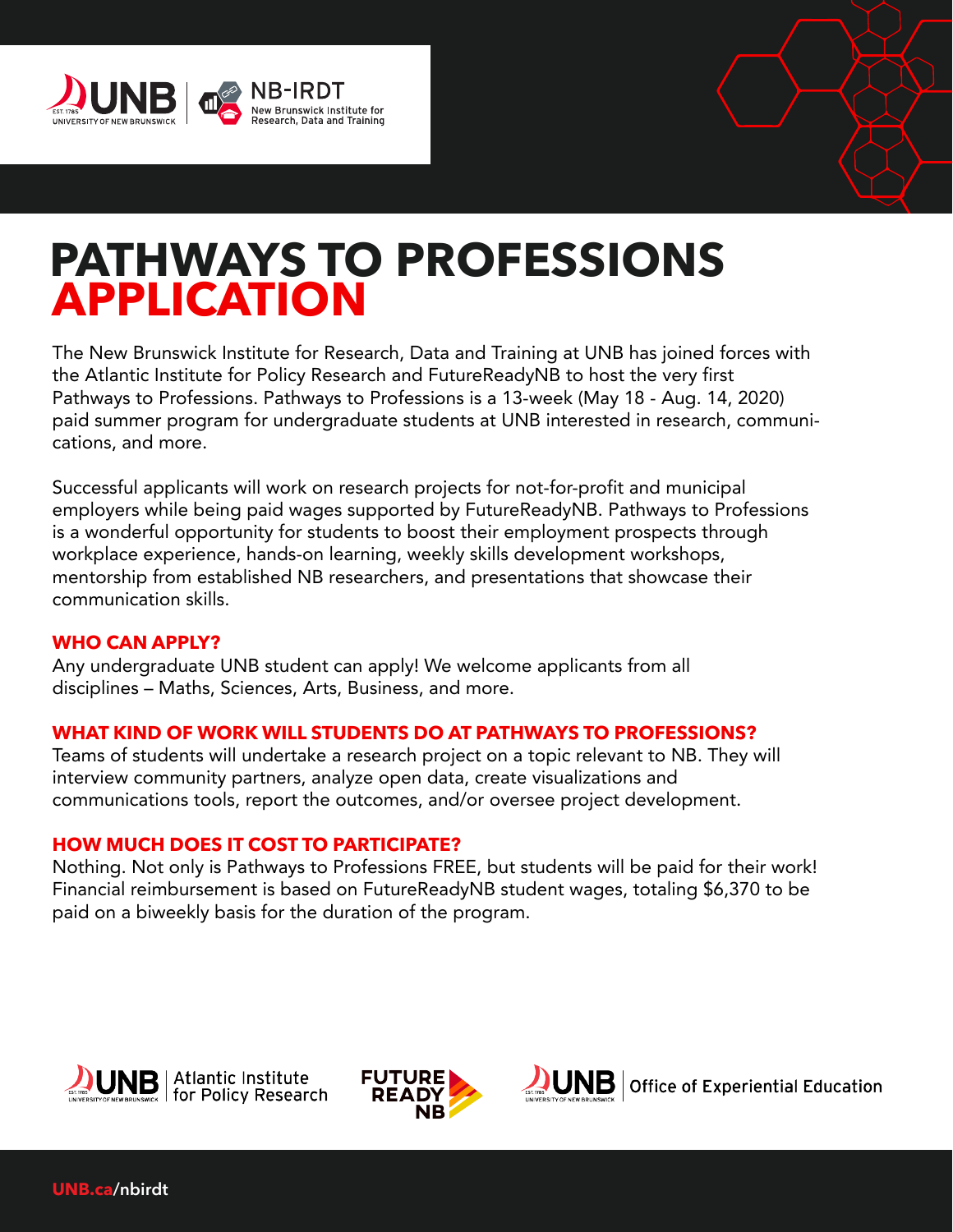



# **PATHWAYS TO PROFESSIONS APPLICATION**

The New Brunswick Institute for Research, Data and Training at UNB has joined forces with the Atlantic Institute for Policy Research and FutureReadyNB to host the very first Pathways to Professions. Pathways to Professions is a 13-week (May 18 - Aug. 14, 2020) paid summer program for undergraduate students at UNB interested in research, communications, and more.

Successful applicants will work on research projects for not-for-profit and municipal employers while being paid wages supported by FutureReadyNB. Pathways to Professions is a wonderful opportunity for students to boost their employment prospects through workplace experience, hands-on learning, weekly skills development workshops, mentorship from established NB researchers, and presentations that showcase their communication skills.

#### **WHO CAN APPLY?**

Any undergraduate UNB student can apply! We welcome applicants from all disciplines – Maths, Sciences, Arts, Business, and more.

#### **WHAT KIND OF WORK WILL STUDENTS DO AT PATHWAYS TO PROFESSIONS?**

Teams of students will undertake a research project on a topic relevant to NB. They will interview community partners, analyze open data, create visualizations and communications tools, report the outcomes, and/or oversee project development.

#### **HOW MUCH DOES IT COST TO PARTICIPATE?**

Nothing. Not only is Pathways to Professions FREE, but students will be paid for their work! Financial reimbursement is based on FutureReadyNB student wages, totaling \$6,370 to be paid on a biweekly basis for the duration of the program.





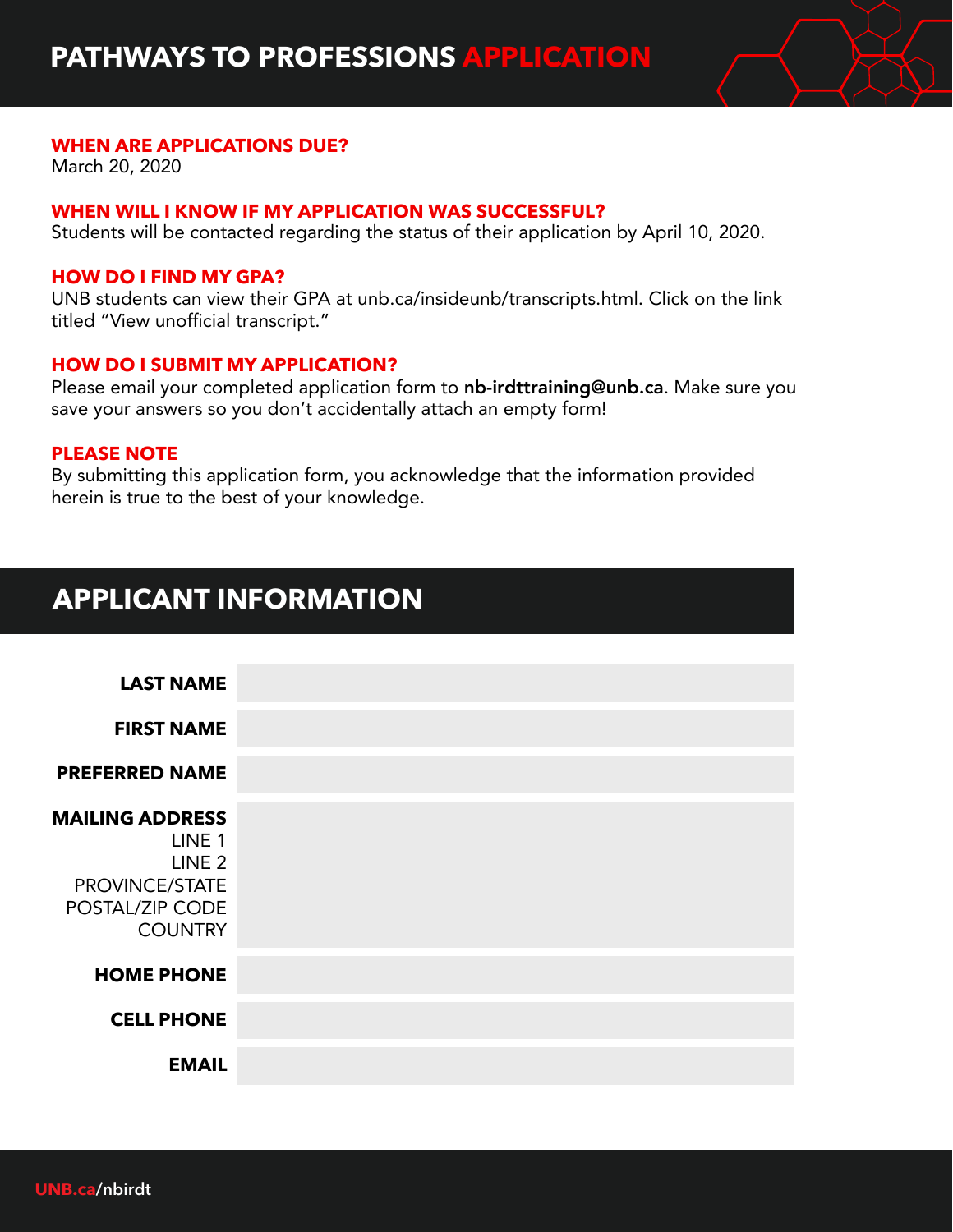

#### **WHEN ARE APPLICATIONS DUE?**

March 20, 2020

#### **WHEN WILL I KNOW IF MY APPLICATION WAS SUCCESSFUL?**

Students will be contacted regarding the status of their application by April 10, 2020.

#### **HOW DO I FIND MY GPA?**

UNB students can view their GPA at unb.ca/insideunb/transcripts.html. Click on the link titled "View unofficial transcript."

#### **HOW DO I SUBMIT MY APPLICATION?**

Please email your completed application form to nb-irdttraining@unb.ca. Make sure you save your answers so you don't accidentally attach an empty form!

#### **PLEASE NOTE**

By submitting this application form, you acknowledge that the information provided herein is true to the best of your knowledge.

## **APPLICANT INFORMATION**

**FIRST NAME**

**PREFERRED NAME**

### **MAILING ADDRESS**

LINE 1 LINE 2 PROVINCE/STATE POSTAL/ZIP CODE **COUNTRY** 

#### **HOME PHONE**

**CELL PHONE**

**EMAIL**

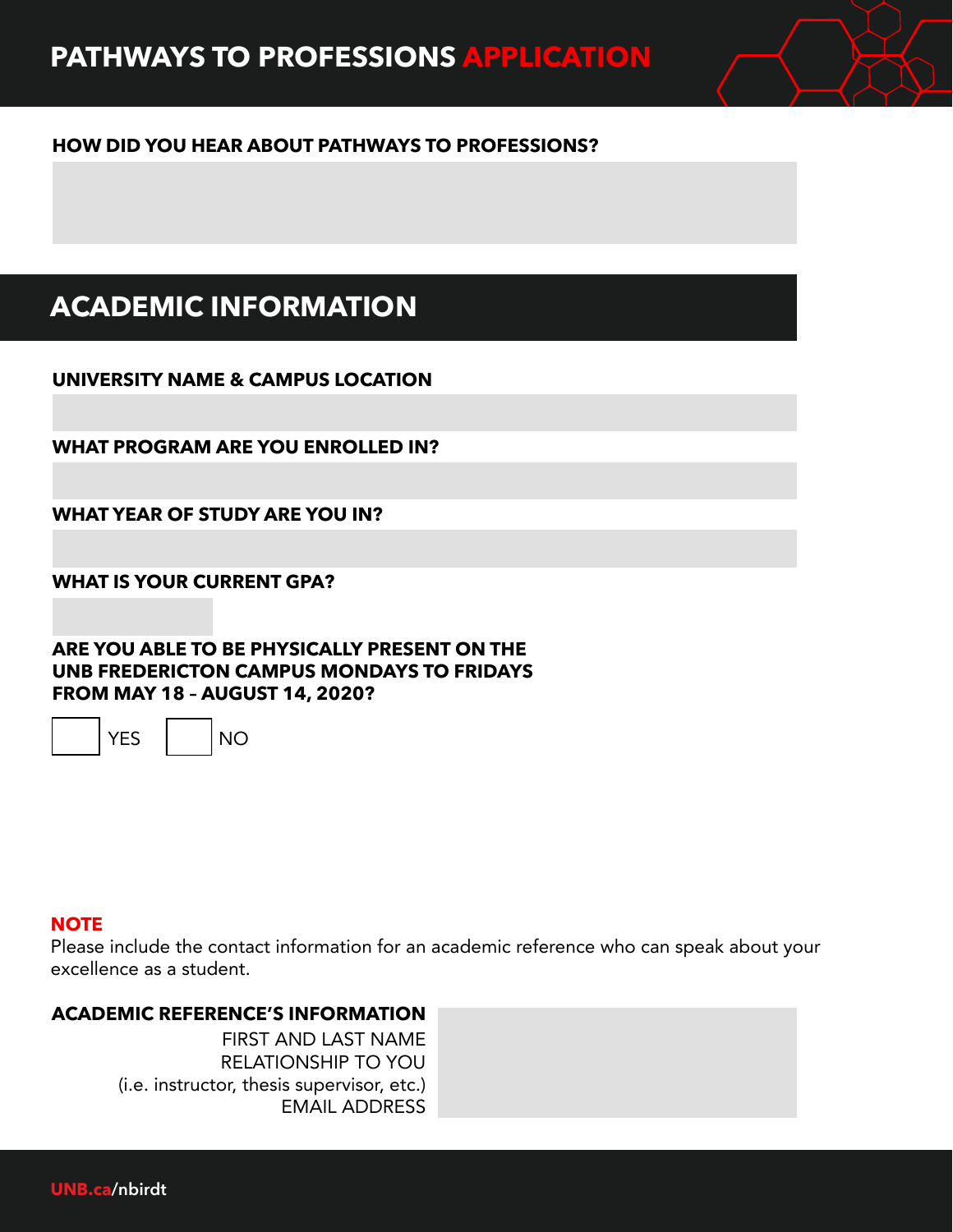#### **HOW DID YOU HEAR ABOUT PATHWAYS TO PROFESSIONS?**

## **ACADEMIC INFORMATION**

**UNIVERSITY NAME & CAMPUS LOCATION**

**WHAT PROGRAM ARE YOU ENROLLED IN?**

**WHAT YEAR OF STUDY ARE YOU IN?**

**WHAT IS YOUR CURRENT GPA?**

**ARE YOU ABLE TO BE PHYSICALLY PRESENT ON THE UNB FREDERICTON CAMPUS MONDAYS TO FRIDAYS FROM MAY 18 – AUGUST 14, 2020?**

YES NO



#### **NOTE**

Please include the contact information for an academic reference who can speak about your excellence as a student.

#### **ACADEMIC REFERENCE'S INFORMATION**

FIRST AND LAST NAME RELATIONSHIP TO YOU (i.e. instructor, thesis supervisor, etc.) EMAIL ADDRESS

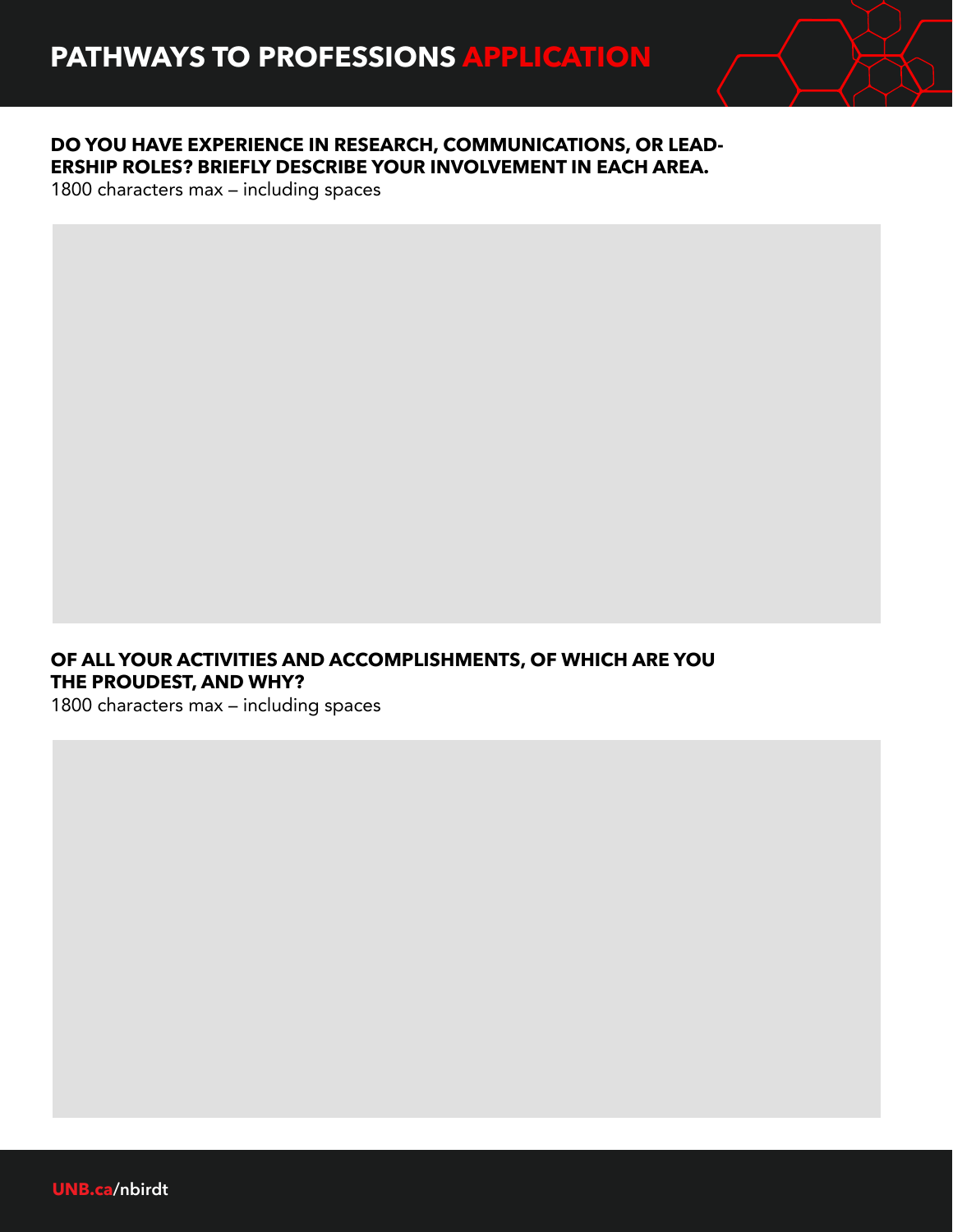

#### **DO YOU HAVE EXPERIENCE IN RESEARCH, COMMUNICATIONS, OR LEAD-ERSHIP ROLES? BRIEFLY DESCRIBE YOUR INVOLVEMENT IN EACH AREA.**

1800 characters max – including spaces

#### **OF ALL YOUR ACTIVITIES AND ACCOMPLISHMENTS, OF WHICH ARE YOU THE PROUDEST, AND WHY?**

1800 characters max – including spaces

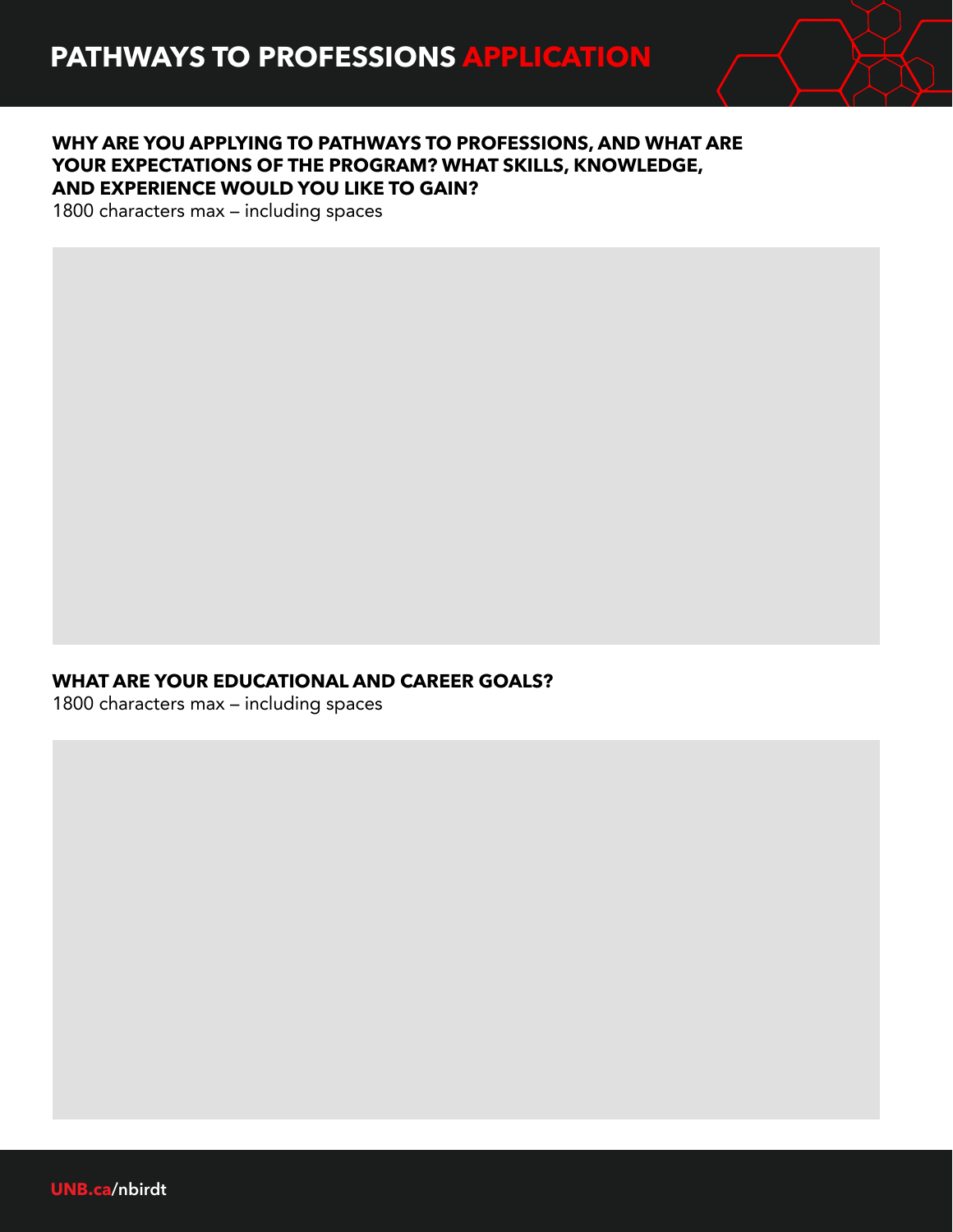

#### **WHY ARE YOU APPLYING TO PATHWAYS TO PROFESSIONS, AND WHAT ARE YOUR EXPECTATIONS OF THE PROGRAM? WHAT SKILLS, KNOWLEDGE, AND EXPERIENCE WOULD YOU LIKE TO GAIN?**

1800 characters max – including spaces

#### **WHAT ARE YOUR EDUCATIONAL AND CAREER GOALS?**

1800 characters max – including spaces